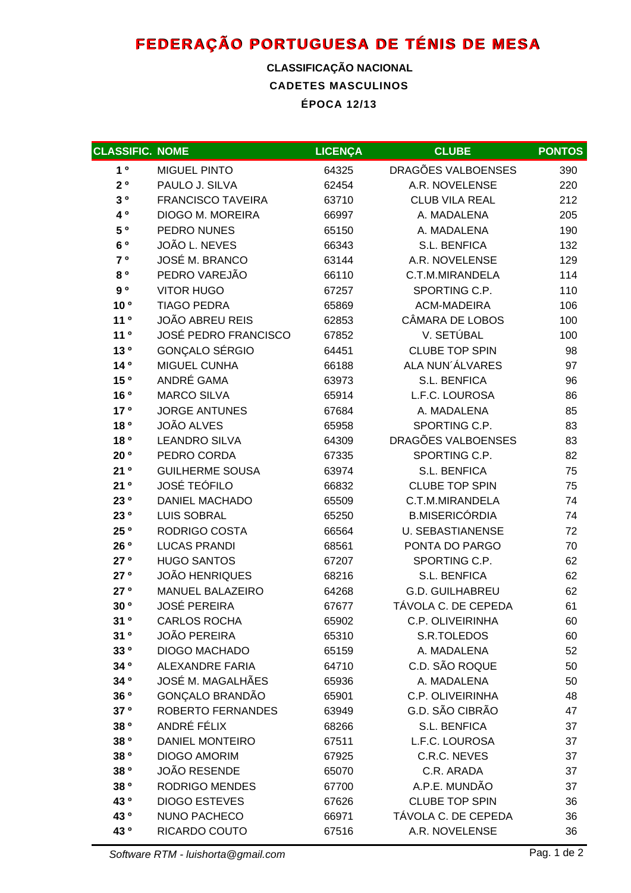# **FEDERAÇÃO PORTUGUESA DE TÉNIS DE MESA**

### **CADETES MASCULINOS ÉPOCA 12/13 CLASSIFICAÇÃO NACIONAL**

| <b>CLASSIFIC. NOME</b> |                             | <b>LICENÇA</b> | <b>CLUBE</b>            | <b>PONTOS</b> |
|------------------------|-----------------------------|----------------|-------------------------|---------------|
| 1 <sup>0</sup>         | <b>MIGUEL PINTO</b>         | 64325          | DRAGÕES VALBOENSES      | 390           |
| $2^o$                  | PAULO J. SILVA              | 62454          | A.R. NOVELENSE          | 220           |
| $3^o$                  | <b>FRANCISCO TAVEIRA</b>    | 63710          | <b>CLUB VILA REAL</b>   | 212           |
| 4 0                    | DIOGO M. MOREIRA            | 66997          | A. MADALENA             | 205           |
| 5 °                    | PEDRO NUNES                 | 65150          | A. MADALENA             | 190           |
| 6 °                    | JOÃO L. NEVES               | 66343          | <b>S.L. BENFICA</b>     | 132           |
| 7°                     | JOSÉ M. BRANCO              | 63144          | A.R. NOVELENSE          | 129           |
| 80                     | PEDRO VAREJÃO               | 66110          | C.T.M.MIRANDELA         | 114           |
| 9 <sup>o</sup>         | <b>VITOR HUGO</b>           | 67257          | SPORTING C.P.           | 110           |
| 10 <sup>o</sup>        | <b>TIAGO PEDRA</b>          | 65869          | ACM-MADEIRA             | 106           |
| 11 <sup>0</sup>        | <b>JOÃO ABREU REIS</b>      | 62853          | CÂMARA DE LOBOS         | 100           |
| 11 <sup>0</sup>        | <b>JOSÉ PEDRO FRANCISCO</b> | 67852          | V. SETÚBAL              | 100           |
| 13 <sup>o</sup>        | GONÇALO SÉRGIO              | 64451          | <b>CLUBE TOP SPIN</b>   | 98            |
| 140                    | <b>MIGUEL CUNHA</b>         | 66188          | ALA NUN'ÁLVARES         | 97            |
| 15 °                   | ANDRÉ GAMA                  | 63973          | <b>S.L. BENFICA</b>     | 96            |
| 16 <sup>o</sup>        | <b>MARCO SILVA</b>          | 65914          | L.F.C. LOUROSA          | 86            |
| 17 <sup>o</sup>        | <b>JORGE ANTUNES</b>        | 67684          | A. MADALENA             | 85            |
| 18 <sup>o</sup>        | <b>JOÃO ALVES</b>           | 65958          | SPORTING C.P.           | 83            |
| 18 <sup>o</sup>        | <b>LEANDRO SILVA</b>        | 64309          | DRAGÕES VALBOENSES      | 83            |
| 20 <sup>o</sup>        | PEDRO CORDA                 | 67335          | SPORTING C.P.           | 82            |
| 21°                    | <b>GUILHERME SOUSA</b>      | 63974          | S.L. BENFICA            | 75            |
| 21°                    | <b>JOSÉ TEÓFILO</b>         | 66832          | <b>CLUBE TOP SPIN</b>   | 75            |
| 23 0                   | <b>DANIEL MACHADO</b>       | 65509          | C.T.M.MIRANDELA         | 74            |
| 23 0                   | <b>LUIS SOBRAL</b>          | 65250          | <b>B.MISERICÓRDIA</b>   | 74            |
| 25 °                   | RODRIGO COSTA               | 66564          | <b>U. SEBASTIANENSE</b> | 72            |
| 26 <sup>o</sup>        | <b>LUCAS PRANDI</b>         | 68561          | PONTA DO PARGO          | 70            |
| 27°                    | <b>HUGO SANTOS</b>          | 67207          | SPORTING C.P.           | 62            |
| 27°                    | <b>JOÃO HENRIQUES</b>       | 68216          | S.L. BENFICA            | 62            |
| 27°                    | MANUEL BALAZEIRO            | 64268          | <b>G.D. GUILHABREU</b>  | 62            |
| 30 <sup>o</sup>        | <b>JOSÉ PEREIRA</b>         | 67677          | TÁVOLA C. DE CEPEDA     | 61            |
| 31 º                   | <b>CARLOS ROCHA</b>         | 65902          | C.P. OLIVEIRINHA        | 60            |
| 31 <sup>o</sup>        | <b>JOÃO PEREIRA</b>         | 65310          | S.R.TOLEDOS             | 60            |
| 33 0                   | <b>DIOGO MACHADO</b>        | 65159          | A. MADALENA             | 52            |
| 34 °                   | <b>ALEXANDRE FARIA</b>      | 64710          | C.D. SÃO ROQUE          | 50            |
| 34 °                   | JOSÉ M. MAGALHÃES           | 65936          | A. MADALENA             | 50            |
| 36 <sup>o</sup>        | GONÇALO BRANDÃO             | 65901          | C.P. OLIVEIRINHA        | 48            |
| 37 <sup>o</sup>        | <b>ROBERTO FERNANDES</b>    | 63949          | G.D. SÃO CIBRÃO         | 47            |
| 38 <sup>o</sup>        | ANDRÉ FÉLIX                 | 68266          | S.L. BENFICA            | 37            |
| 38 <sup>o</sup>        | <b>DANIEL MONTEIRO</b>      | 67511          | L.F.C. LOUROSA          | 37            |
| 38 °                   | <b>DIOGO AMORIM</b>         | 67925          | C.R.C. NEVES            | 37            |
| 38 °                   | <b>JOÃO RESENDE</b>         | 65070          | C.R. ARADA              | 37            |
| 38 °                   | <b>RODRIGO MENDES</b>       | 67700          | A.P.E. MUNDÃO           | 37            |
| 43 0                   | <b>DIOGO ESTEVES</b>        | 67626          | <b>CLUBE TOP SPIN</b>   | 36            |
| 43 °                   | <b>NUNO PACHECO</b>         | 66971          | TÁVOLA C. DE CEPEDA     | 36            |
| 43 °                   | RICARDO COUTO               | 67516          | A.R. NOVELENSE          | 36            |